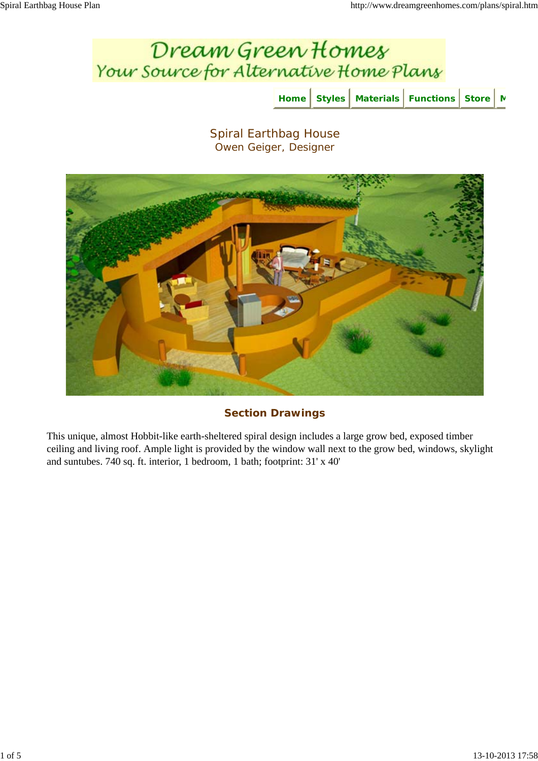



## **Section Drawings**

This unique, almost Hobbit-like earth-sheltered spiral design includes a large grow bed, exposed timber ceiling and living roof. Ample light is provided by the window wall next to the grow bed, windows, skylight and suntubes. 740 sq. ft. interior, 1 bedroom, 1 bath; footprint: 31' x 40'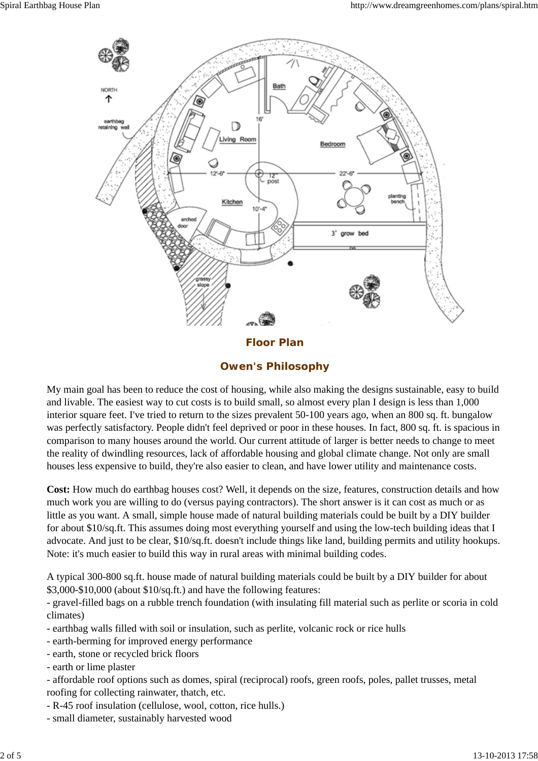

**Owen's Philosophy**

My main goal has been to reduce the cost of housing, while also making the designs sustainable, easy to build and livable. The easiest way to cut costs is to build small, so almost every plan I design is less than 1,000 interior square feet. I've tried to return to the sizes prevalent 50-100 years ago, when an 800 sq. ft. bungalow was perfectly satisfactory. People didn't feel deprived or poor in these houses. In fact, 800 sq. ft. is spacious in comparison to many houses around the world. Our current attitude of larger is better needs to change to meet the reality of dwindling resources, lack of affordable housing and global climate change. Not only are small houses less expensive to build, they're also easier to clean, and have lower utility and maintenance costs.

**Cost:** How much do earthbag houses cost? Well, it depends on the size, features, construction details and how much work you are willing to do (versus paying contractors). The short answer is it can cost as much or as little as you want. A small, simple house made of natural building materials could be built by a DIY builder for about \$10/sq.ft. This assumes doing most everything yourself and using the low-tech building ideas that I advocate. And just to be clear, \$10/sq.ft. doesn't include things like land, building permits and utility hookups. Note: it's much easier to build this way in rural areas with minimal building codes.

A typical 300-800 sq.ft. house made of natural building materials could be built by a DIY builder for about \$3,000-\$10,000 (about \$10/sq.ft.) and have the following features:

- gravel-filled bags on a rubble trench foundation (with insulating fill material such as perlite or scoria in cold climates)

- earthbag walls filled with soil or insulation, such as perlite, volcanic rock or rice hulls
- earth-berming for improved energy performance
- earth, stone or recycled brick floors
- earth or lime plaster

- affordable roof options such as domes, spiral (reciprocal) roofs, green roofs, poles, pallet trusses, metal roofing for collecting rainwater, thatch, etc.

- R-45 roof insulation (cellulose, wool, cotton, rice hulls.)
- small diameter, sustainably harvested wood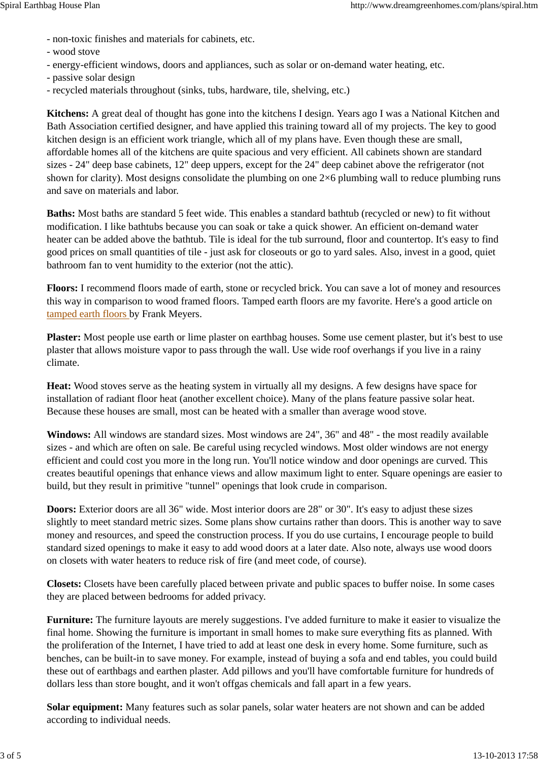- non-toxic finishes and materials for cabinets, etc.
- wood stove
- energy-efficient windows, doors and appliances, such as solar or on-demand water heating, etc.
- passive solar design
- recycled materials throughout (sinks, tubs, hardware, tile, shelving, etc.)

**Kitchens:** A great deal of thought has gone into the kitchens I design. Years ago I was a National Kitchen and Bath Association certified designer, and have applied this training toward all of my projects. The key to good kitchen design is an efficient work triangle, which all of my plans have. Even though these are small, affordable homes all of the kitchens are quite spacious and very efficient. All cabinets shown are standard sizes - 24" deep base cabinets, 12" deep uppers, except for the 24" deep cabinet above the refrigerator (not shown for clarity). Most designs consolidate the plumbing on one 2×6 plumbing wall to reduce plumbing runs and save on materials and labor.

**Baths:** Most baths are standard 5 feet wide. This enables a standard bathtub (recycled or new) to fit without modification. I like bathtubs because you can soak or take a quick shower. An efficient on-demand water heater can be added above the bathtub. Tile is ideal for the tub surround, floor and countertop. It's easy to find good prices on small quantities of tile - just ask for closeouts or go to yard sales. Also, invest in a good, quiet bathroom fan to vent humidity to the exterior (not the attic).

**Floors:** I recommend floors made of earth, stone or recycled brick. You can save a lot of money and resources this way in comparison to wood framed floors. Tamped earth floors are my favorite. Here's a good article on tamped earth floors by Frank Meyers.

**Plaster:** Most people use earth or lime plaster on earthbag houses. Some use cement plaster, but it's best to use plaster that allows moisture vapor to pass through the wall. Use wide roof overhangs if you live in a rainy climate.

**Heat:** Wood stoves serve as the heating system in virtually all my designs. A few designs have space for installation of radiant floor heat (another excellent choice). Many of the plans feature passive solar heat. Because these houses are small, most can be heated with a smaller than average wood stove.

**Windows:** All windows are standard sizes. Most windows are 24", 36" and 48" - the most readily available sizes - and which are often on sale. Be careful using recycled windows. Most older windows are not energy efficient and could cost you more in the long run. You'll notice window and door openings are curved. This creates beautiful openings that enhance views and allow maximum light to enter. Square openings are easier to build, but they result in primitive "tunnel" openings that look crude in comparison.

**Doors:** Exterior doors are all 36" wide. Most interior doors are 28" or 30". It's easy to adjust these sizes slightly to meet standard metric sizes. Some plans show curtains rather than doors. This is another way to save money and resources, and speed the construction process. If you do use curtains, I encourage people to build standard sized openings to make it easy to add wood doors at a later date. Also note, always use wood doors on closets with water heaters to reduce risk of fire (and meet code, of course).

**Closets:** Closets have been carefully placed between private and public spaces to buffer noise. In some cases they are placed between bedrooms for added privacy.

**Furniture:** The furniture layouts are merely suggestions. I've added furniture to make it easier to visualize the final home. Showing the furniture is important in small homes to make sure everything fits as planned. With the proliferation of the Internet, I have tried to add at least one desk in every home. Some furniture, such as benches, can be built-in to save money. For example, instead of buying a sofa and end tables, you could build these out of earthbags and earthen plaster. Add pillows and you'll have comfortable furniture for hundreds of dollars less than store bought, and it won't offgas chemicals and fall apart in a few years.

**Solar equipment:** Many features such as solar panels, solar water heaters are not shown and can be added according to individual needs.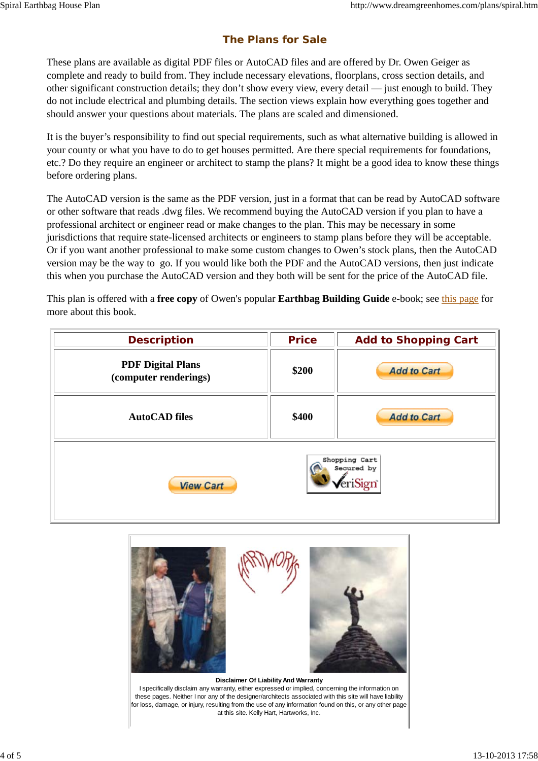## **The Plans for Sale**

These plans are available as digital PDF files or AutoCAD files and are offered by Dr. Owen Geiger as complete and ready to build from. They include necessary elevations, floorplans, cross section details, and other significant construction details; they don't show every view, every detail — just enough to build. They do not include electrical and plumbing details. The section views explain how everything goes together and should answer your questions about materials. The plans are scaled and dimensioned.

It is the buyer's responsibility to find out special requirements, such as what alternative building is allowed in your county or what you have to do to get houses permitted. Are there special requirements for foundations, etc.? Do they require an engineer or architect to stamp the plans? It might be a good idea to know these things before ordering plans.

The AutoCAD version is the same as the PDF version, just in a format that can be read by AutoCAD software or other software that reads .dwg files. We recommend buying the AutoCAD version if you plan to have a professional architect or engineer read or make changes to the plan. This may be necessary in some jurisdictions that require state-licensed architects or engineers to stamp plans before they will be acceptable. Or if you want another professional to make some custom changes to Owen's stock plans, then the AutoCAD version may be the way to go. If you would like both the PDF and the AutoCAD versions, then just indicate this when you purchase the AutoCAD version and they both will be sent for the price of the AutoCAD file.

This plan is offered with a **free copy** of Owen's popular **Earthbag Building Guide** e-book; see this page for more about this book.

| <b>Description</b>                                | <b>Price</b> | <b>Add to Shopping Cart</b> |
|---------------------------------------------------|--------------|-----------------------------|
| <b>PDF Digital Plans</b><br>(computer renderings) | \$200        | <b>Add to Cart</b>          |
| <b>AutoCAD files</b>                              | \$400        | <b>Add to Cart</b>          |
| Shopping Cart<br>Secured by<br><b>View Cart</b>   |              |                             |